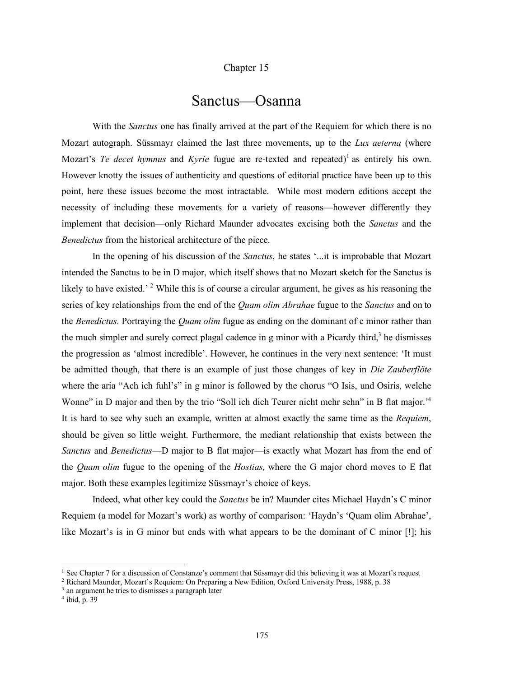## Chapter 15

## Sanctus—Osanna

With the *Sanctus* one has finally arrived at the part of the Requiem for which there is no Mozart autograph. Süssmayr claimed the last three movements, up to the *Lux aeterna* (where Mozart's *Te* decet *hymnus* and *Kyrie* fugue are re-texted and repeated)<sup>1</sup> as entirely his own. However knotty the issues of authenticity and questions of editorial practice have been up to this point, here these issues become the most intractable. While most modern editions accept the necessity of including these movements for a variety of reasons—however differently they implement that decision—only Richard Maunder advocates excising both the *Sanctus* and the *Benedictus* from the historical architecture of the piece.

In the opening of his discussion of the *Sanctus*, he states '...it is improbable that Mozart intended the Sanctus to be in D major, which itself shows that no Mozart sketch for the Sanctus is likely to have existed.<sup>'</sup> <sup>2</sup> While this is of course a circular argument, he gives as his reasoning the series of key relationships from the end of the *Quam olim Abrahae* fugue to the *Sanctus* and on to the *Benedictus.* Portraying the *Quam olim* fugue as ending on the dominant of c minor rather than the much simpler and surely correct plagal cadence in g minor with a Picardy third,<sup>3</sup> he dismisses the progression as 'almost incredible'. However, he continues in the very next sentence: 'It must be admitted though, that there is an example of just those changes of key in *Die Zauberflöte* where the aria "Ach ich fuhl's" in g minor is followed by the chorus "O Isis, und Osiris, welche Wonne" in D major and then by the trio "Soll ich dich Teurer nicht mehr sehn" in B flat major.<sup>14</sup> It is hard to see why such an example, written at almost exactly the same time as the *Requiem*, should be given so little weight. Furthermore, the mediant relationship that exists between the *Sanctus* and *Benedictus*—D major to B flat major—is exactly what Mozart has from the end of the *Quam olim* fugue to the opening of the *Hostias,* where the G major chord moves to E flat major. Both these examples legitimize Süssmayr's choice of keys.

Indeed, what other key could the *Sanctus* be in? Maunder cites Michael Haydn's C minor Requiem (a model for Mozart's work) as worthy of comparison: 'Haydn's 'Quam olim Abrahae', like Mozart's is in G minor but ends with what appears to be the dominant of C minor [!]; his

<sup>&</sup>lt;sup>1</sup> See Chapter 7 for a discussion of Constanze's comment that Süssmayr did this believing it was at Mozart's request

<sup>2</sup> Richard Maunder, Mozart's Requiem: On Preparing a New Edition, Oxford University Press, 1988, p. 38

<sup>&</sup>lt;sup>3</sup> an argument he tries to dismisses a paragraph later

<sup>4</sup> ibid, p. 39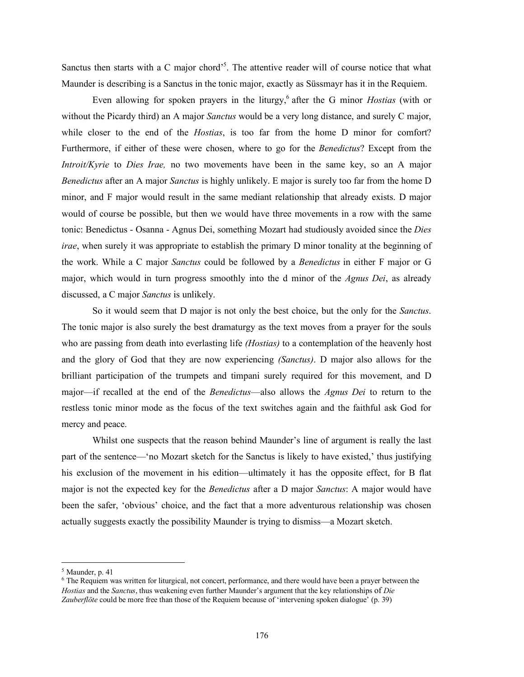Sanctus then starts with a C major chord<sup>55</sup>. The attentive reader will of course notice that what Maunder is describing is a Sanctus in the tonic major, exactly as Süssmayr has it in the Requiem.

Even allowing for spoken prayers in the liturgy,<sup>6</sup> after the G minor *Hostias* (with or without the Picardy third) an A major *Sanctus* would be a very long distance, and surely C major, while closer to the end of the *Hostias*, is too far from the home D minor for comfort? Furthermore, if either of these were chosen, where to go for the *Benedictus*? Except from the *Introit/Kyrie* to *Dies Irae,* no two movements have been in the same key, so an A major *Benedictus* after an A major *Sanctus* is highly unlikely. E major is surely too far from the home D minor, and F major would result in the same mediant relationship that already exists. D major would of course be possible, but then we would have three movements in a row with the same tonic: Benedictus - Osanna - Agnus Dei, something Mozart had studiously avoided since the *Dies irae*, when surely it was appropriate to establish the primary D minor tonality at the beginning of the work. While a C major *Sanctus* could be followed by a *Benedictus* in either F major or G major, which would in turn progress smoothly into the d minor of the *Agnus Dei*, as already discussed, a C major *Sanctus* is unlikely.

So it would seem that D major is not only the best choice, but the only for the *Sanctus*. The tonic major is also surely the best dramaturgy as the text moves from a prayer for the souls who are passing from death into everlasting life *(Hostias)* to a contemplation of the heavenly host and the glory of God that they are now experiencing *(Sanctus)*. D major also allows for the brilliant participation of the trumpets and timpani surely required for this movement, and D major—if recalled at the end of the *Benedictus*—also allows the *Agnus Dei* to return to the restless tonic minor mode as the focus of the text switches again and the faithful ask God for mercy and peace.

Whilst one suspects that the reason behind Maunder's line of argument is really the last part of the sentence—'no Mozart sketch for the Sanctus is likely to have existed,' thus justifying his exclusion of the movement in his edition—ultimately it has the opposite effect, for B flat major is not the expected key for the *Benedictus* after a D major *Sanctus*: A major would have been the safer, 'obvious' choice, and the fact that a more adventurous relationship was chosen actually suggests exactly the possibility Maunder is trying to dismiss—a Mozart sketch.

 $<sup>5</sup>$  Maunder, p. 41</sup>

<sup>6</sup> The Requiem was written for liturgical, not concert, performance, and there would have been a prayer between the *Hostias* and the *Sanctus*, thus weakening even further Maunder's argument that the key relationships of *Die Zauberflöte* could be more free than those of the Requiem because of 'intervening spoken dialogue' (p. 39)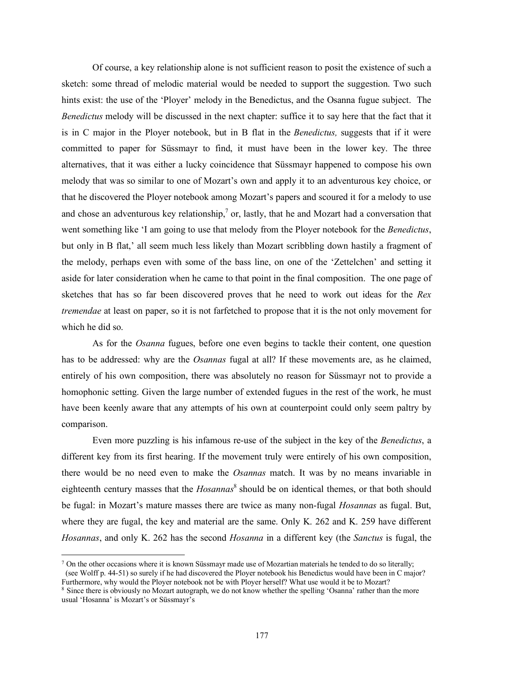Of course, a key relationship alone is not sufficient reason to posit the existence of such a sketch: some thread of melodic material would be needed to support the suggestion. Two such hints exist: the use of the 'Ployer' melody in the Benedictus, and the Osanna fugue subject. The *Benedictus* melody will be discussed in the next chapter: suffice it to say here that the fact that it is in C major in the Ployer notebook, but in B flat in the *Benedictus,* suggests that if it were committed to paper for Süssmayr to find, it must have been in the lower key. The three alternatives, that it was either a lucky coincidence that Süssmayr happened to compose his own melody that was so similar to one of Mozart's own and apply it to an adventurous key choice, or that he discovered the Ployer notebook among Mozart's papers and scoured it for a melody to use and chose an adventurous key relationship,<sup>7</sup> or, lastly, that he and Mozart had a conversation that went something like 'I am going to use that melody from the Ployer notebook for the *Benedictus*, but only in B flat,' all seem much less likely than Mozart scribbling down hastily a fragment of the melody, perhaps even with some of the bass line, on one of the 'Zettelchen' and setting it aside for later consideration when he came to that point in the final composition. The one page of sketches that has so far been discovered proves that he need to work out ideas for the *Rex tremendae* at least on paper, so it is not farfetched to propose that it is the not only movement for which he did so.

As for the *Osanna* fugues, before one even begins to tackle their content, one question has to be addressed: why are the *Osannas* fugal at all? If these movements are, as he claimed, entirely of his own composition, there was absolutely no reason for Süssmayr not to provide a homophonic setting. Given the large number of extended fugues in the rest of the work, he must have been keenly aware that any attempts of his own at counterpoint could only seem paltry by comparison.

Even more puzzling is his infamous re-use of the subject in the key of the *Benedictus*, a different key from its first hearing. If the movement truly were entirely of his own composition, there would be no need even to make the *Osannas* match. It was by no means invariable in eighteenth century masses that the *Hosannas*<sup>8</sup> should be on identical themes, or that both should be fugal: in Mozart's mature masses there are twice as many non-fugal *Hosannas* as fugal. But, where they are fugal, the key and material are the same. Only K. 262 and K. 259 have different *Hosannas*, and only K. 262 has the second *Hosanna* in a different key (the *Sanctus* is fugal, the

<sup>&</sup>lt;sup>7</sup> On the other occasions where it is known Süssmayr made use of Mozartian materials he tended to do so literally; (see Wolff p. 44-51) so surely if he had discovered the Ployer notebook his Benedictus would have been in C major? Furthermore, why would the Ployer notebook not be with Ployer herself? What use would it be to Mozart?

<sup>8</sup> Since there is obviously no Mozart autograph, we do not know whether the spelling 'Osanna' rather than the more usual 'Hosanna' is Mozart's or Süssmayr's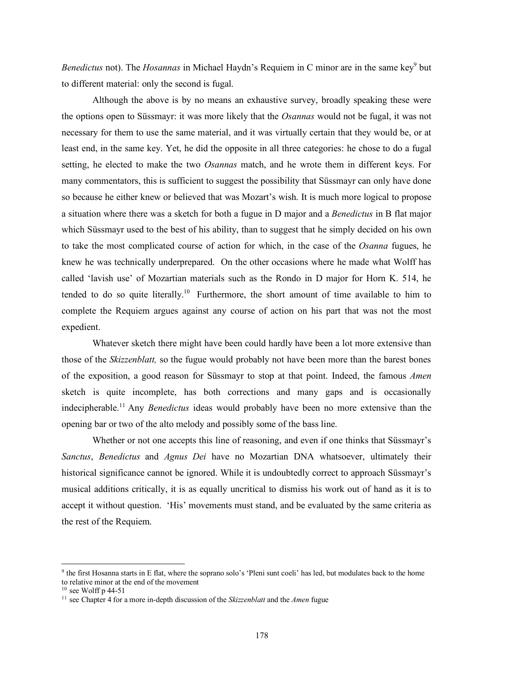*Benedictus* not). The *Hosannas* in Michael Haydn's Requiem in C minor are in the same key<sup>9</sup> but to different material: only the second is fugal.

Although the above is by no means an exhaustive survey, broadly speaking these were the options open to Süssmayr: it was more likely that the *Osannas* would not be fugal, it was not necessary for them to use the same material, and it was virtually certain that they would be, or at least end, in the same key. Yet, he did the opposite in all three categories: he chose to do a fugal setting, he elected to make the two *Osannas* match, and he wrote them in different keys. For many commentators, this is sufficient to suggest the possibility that Süssmayr can only have done so because he either knew or believed that was Mozart's wish. It is much more logical to propose a situation where there was a sketch for both a fugue in D major and a *Benedictus* in B flat major which Süssmayr used to the best of his ability, than to suggest that he simply decided on his own to take the most complicated course of action for which, in the case of the *Osanna* fugues, he knew he was technically underprepared. On the other occasions where he made what Wolff has called 'lavish use' of Mozartian materials such as the Rondo in D major for Horn K. 514, he tended to do so quite literally.<sup>10</sup> Furthermore, the short amount of time available to him to complete the Requiem argues against any course of action on his part that was not the most expedient.

Whatever sketch there might have been could hardly have been a lot more extensive than those of the *Skizzenblatt,* so the fugue would probably not have been more than the barest bones of the exposition, a good reason for Süssmayr to stop at that point. Indeed, the famous *Amen* sketch is quite incomplete, has both corrections and many gaps and is occasionally indecipherable.<sup>11</sup> Any *Benedictus* ideas would probably have been no more extensive than the opening bar or two of the alto melody and possibly some of the bass line.

Whether or not one accepts this line of reasoning, and even if one thinks that Süssmayr's *Sanctus*, *Benedictus* and *Agnus Dei* have no Mozartian DNA whatsoever, ultimately their historical significance cannot be ignored. While it is undoubtedly correct to approach Süssmayr's musical additions critically, it is as equally uncritical to dismiss his work out of hand as it is to accept it without question. 'His' movements must stand, and be evaluated by the same criteria as the rest of the Requiem.

 <sup>9</sup> the first Hosanna starts in <sup>E</sup> flat, where the soprano solo's 'Pleni sunt coeli' has led, but modulates back to the home to relative minor at the end of the movement

 $10$  see Wolff p 44-51

<sup>11</sup> see Chapter 4 for a more in-depth discussion of the *Skizzenblatt* and the *Amen* fugue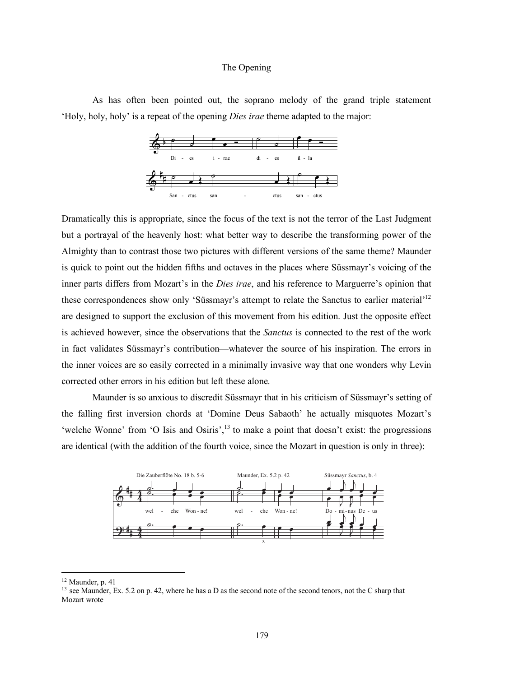## The Opening

As has often been pointed out, the soprano melody of the grand triple statement 'Holy, holy, holy' is a repeat of the opening *Dies irae* theme adapted to the major:



Dramatically this is appropriate, since the focus of the text is not the terror of the Last Judgment but a portrayal of the heavenly host: what better way to describe the transforming power of the Almighty than to contrast those two pictures with different versions of the same theme? Maunder is quick to point out the hidden fifths and octaves in the places where Süssmayr's voicing of the inner parts differs from Mozart's in the *Dies irae*, and his reference to Marguerre's opinion that these correspondences show only 'Süssmayr's attempt to relate the Sanctus to earlier material'<sup>12</sup> are designed to support the exclusion of this movement from his edition. Just the opposite effect is achieved however, since the observations that the *Sanctus* is connected to the rest of the work in fact validates Süssmayr's contribution—whatever the source of his inspiration. The errors in the inner voices are so easily corrected in a minimally invasive way that one wonders why Levin corrected other errors in his edition but left these alone.

Maunder is so anxious to discredit Süssmayr that in his criticism of Süssmayr's setting of the falling first inversion chords at 'Domine Deus Sabaoth' he actually misquotes Mozart's 'welche Wonne' from 'O Isis and Osiris',<sup>13</sup> to make a point that doesn't exist: the progressions are identical (with the addition of the fourth voice, since the Mozart in question is only in three):



 <sup>12</sup> Maunder, p. <sup>41</sup>

<sup>&</sup>lt;sup>13</sup> see Maunder, Ex. 5.2 on p. 42, where he has a D as the second note of the second tenors, not the C sharp that Mozart wrote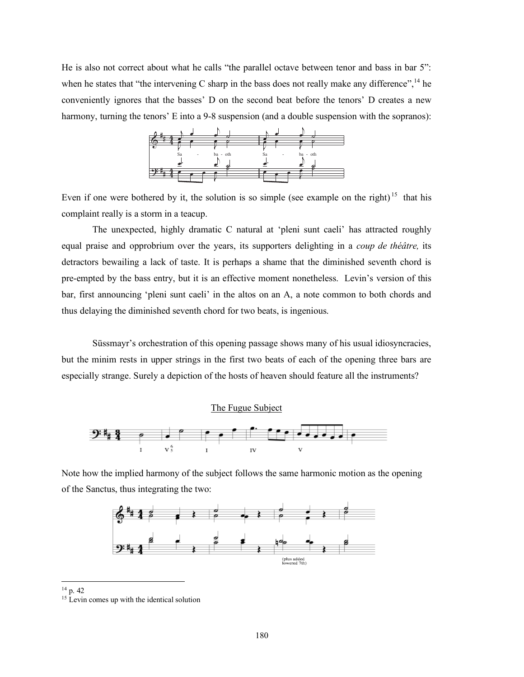He is also not correct about what he calls "the parallel octave between tenor and bass in bar 5": when he states that "the intervening C sharp in the bass does not really make any difference",  $^{14}$  he conveniently ignores that the basses' D on the second beat before the tenors' D creates a new harmony, turning the tenors' E into a 9-8 suspension (and a double suspension with the sopranos):



Even if one were bothered by it, the solution is so simple (see example on the right)<sup>15</sup> that his complaint really is a storm in a teacup.

The unexpected, highly dramatic C natural at 'pleni sunt caeli' has attracted roughly equal praise and opprobrium over the years, its supporters delighting in a *coup de théâtre,* its detractors bewailing a lack of taste. It is perhaps a shame that the diminished seventh chord is pre-empted by the bass entry, but it is an effective moment nonetheless. Levin's version of this bar, first announcing 'pleni sunt caeli' in the altos on an A, a note common to both chords and thus delaying the diminished seventh chord for two beats, is ingenious.

Süssmayr's orchestration of this opening passage shows many of his usual idiosyncracies, but the minim rests in upper strings in the first two beats of each of the opening three bars are especially strange. Surely a depiction of the hosts of heaven should feature all the instruments?





Note how the implied harmony of the subject follows the same harmonic motion as the opening of the Sanctus, thus integrating the two:



14 p. <sup>42</sup>

<sup>&</sup>lt;sup>15</sup> Levin comes up with the identical solution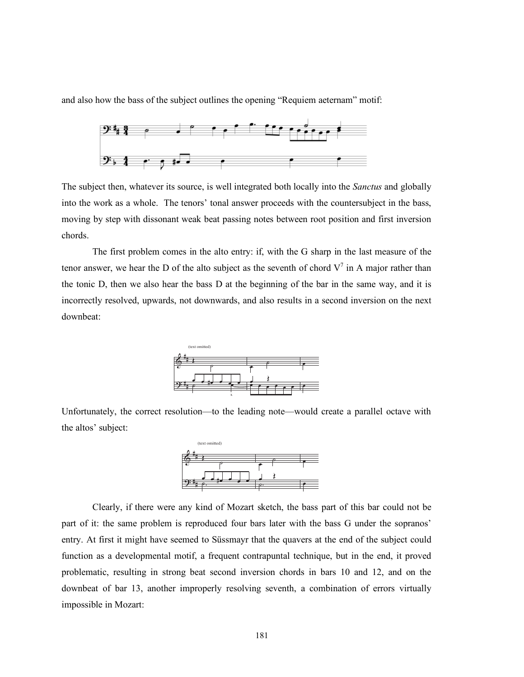and also how the bass of the subject outlines the opening "Requiem aeternam" motif:



The subject then, whatever its source, is well integrated both locally into the *Sanctus* and globally into the work as a whole. The tenors' tonal answer proceeds with the countersubject in the bass, moving by step with dissonant weak beat passing notes between root position and first inversion chords.

The first problem comes in the alto entry: if, with the G sharp in the last measure of the tenor answer, we hear the D of the alto subject as the seventh of chord  $V^7$  in A major rather than the tonic D, then we also hear the bass D at the beginning of the bar in the same way, and it is incorrectly resolved, upwards, not downwards, and also results in a second inversion on the next downbeat:



Unfortunately, the correct resolution—to the leading note—would create a parallel octave with the altos' subject:



Clearly, if there were any kind of Mozart sketch, the bass part of this bar could not be part of it: the same problem is reproduced four bars later with the bass G under the sopranos' entry. At first it might have seemed to Süssmayr that the quavers at the end of the subject could function as a developmental motif, a frequent contrapuntal technique, but in the end, it proved problematic, resulting in strong beat second inversion chords in bars 10 and 12, and on the downbeat of bar 13, another improperly resolving seventh, a combination of errors virtually impossible in Mozart: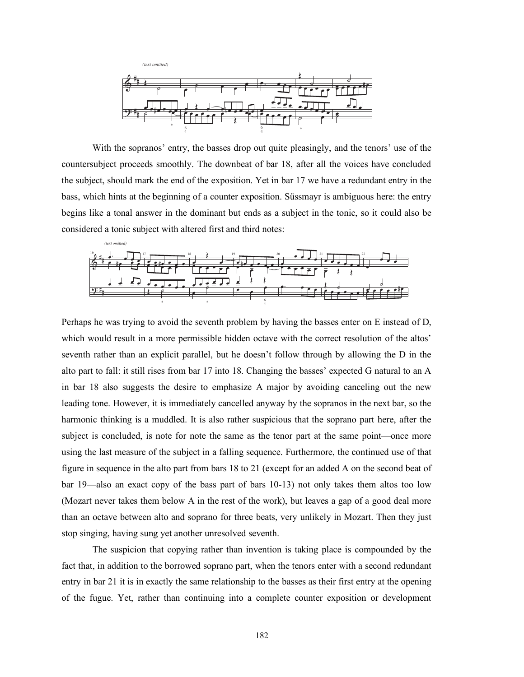

With the sopranos' entry, the basses drop out quite pleasingly, and the tenors' use of the countersubject proceeds smoothly. The downbeat of bar 18, after all the voices have concluded the subject, should mark the end of the exposition. Yet in bar 17 we have a redundant entry in the bass, which hints at the beginning of a counter exposition. Süssmayr is ambiguous here: the entry begins like a tonal answer in the dominant but ends as a subject in the tonic, so it could also be considered a tonic subject with altered first and third notes:



Perhaps he was trying to avoid the seventh problem by having the basses enter on E instead of D, which would result in a more permissible hidden octave with the correct resolution of the altos' seventh rather than an explicit parallel, but he doesn't follow through by allowing the D in the alto part to fall: it still rises from bar 17 into 18. Changing the basses' expected G natural to an A in bar 18 also suggests the desire to emphasize A major by avoiding canceling out the new leading tone. However, it is immediately cancelled anyway by the sopranos in the next bar, so the harmonic thinking is a muddled. It is also rather suspicious that the soprano part here, after the subject is concluded, is note for note the same as the tenor part at the same point—once more using the last measure of the subject in a falling sequence. Furthermore, the continued use of that figure in sequence in the alto part from bars 18 to 21 (except for an added A on the second beat of bar 19—also an exact copy of the bass part of bars 10-13) not only takes them altos too low (Mozart never takes them below A in the rest of the work), but leaves a gap of a good deal more than an octave between alto and soprano for three beats, very unlikely in Mozart. Then they just stop singing, having sung yet another unresolved seventh.

The suspicion that copying rather than invention is taking place is compounded by the fact that, in addition to the borrowed soprano part, when the tenors enter with a second redundant entry in bar 21 it is in exactly the same relationship to the basses as their first entry at the opening of the fugue. Yet, rather than continuing into a complete counter exposition or development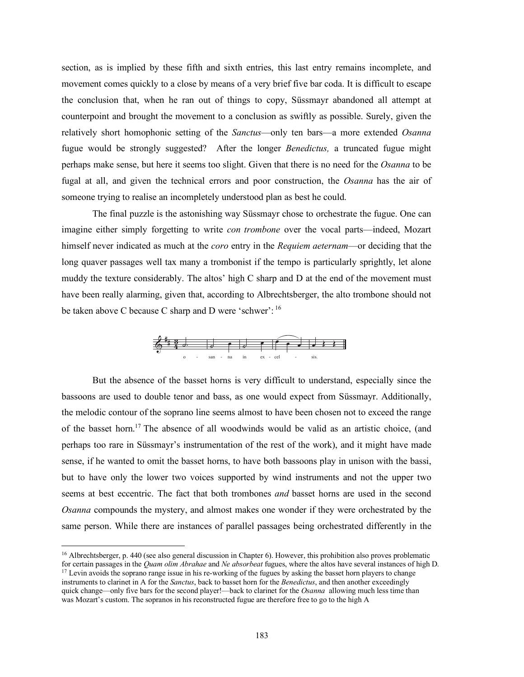section, as is implied by these fifth and sixth entries, this last entry remains incomplete, and movement comes quickly to a close by means of a very brief five bar coda. It is difficult to escape the conclusion that, when he ran out of things to copy, Süssmayr abandoned all attempt at counterpoint and brought the movement to a conclusion as swiftly as possible. Surely, given the relatively short homophonic setting of the *Sanctus*—only ten bars—a more extended *Osanna* fugue would be strongly suggested? After the longer *Benedictus,* a truncated fugue might perhaps make sense, but here it seems too slight. Given that there is no need for the *Osanna* to be fugal at all, and given the technical errors and poor construction, the *Osanna* has the air of someone trying to realise an incompletely understood plan as best he could.

The final puzzle is the astonishing way Süssmayr chose to orchestrate the fugue. One can imagine either simply forgetting to write *con trombone* over the vocal parts—indeed, Mozart himself never indicated as much at the *coro* entry in the *Requiem aeternam*—or deciding that the long quaver passages well tax many a trombonist if the tempo is particularly sprightly, let alone muddy the texture considerably. The altos' high C sharp and D at the end of the movement must have been really alarming, given that, according to Albrechtsberger, the alto trombone should not be taken above C because C sharp and D were 'schwer': <sup>16</sup>



But the absence of the basset horns is very difficult to understand, especially since the bassoons are used to double tenor and bass, as one would expect from Süssmayr. Additionally, the melodic contour of the soprano line seems almost to have been chosen not to exceed the range of the basset horn.<sup>17</sup> The absence of all woodwinds would be valid as an artistic choice, (and perhaps too rare in Süssmayr's instrumentation of the rest of the work), and it might have made sense, if he wanted to omit the basset horns, to have both bassoons play in unison with the bassi, but to have only the lower two voices supported by wind instruments and not the upper two seems at best eccentric. The fact that both trombones *and* basset horns are used in the second *Osanna* compounds the mystery, and almost makes one wonder if they were orchestrated by the same person. While there are instances of parallel passages being orchestrated differently in the

 $16$  Albrechtsberger, p. 440 (see also general discussion in Chapter 6). However, this prohibition also proves problematic for certain passages in the *Quam olim Abrahae* and *Ne absorbeat* fugues, where the altos have several instances of high D. <sup>17</sup> Levin avoids the soprano range issue in his re-working of the fugues by asking the basset horn players to change instruments to clarinet in A for the *Sanctus*, back to basset horn for the *Benedictus*, and then another exceedingly quick change—only five bars for the second player!—back to clarinet for the *Osanna* allowing much less time than was Mozart's custom. The sopranos in his reconstructed fugue are therefore free to go to the high A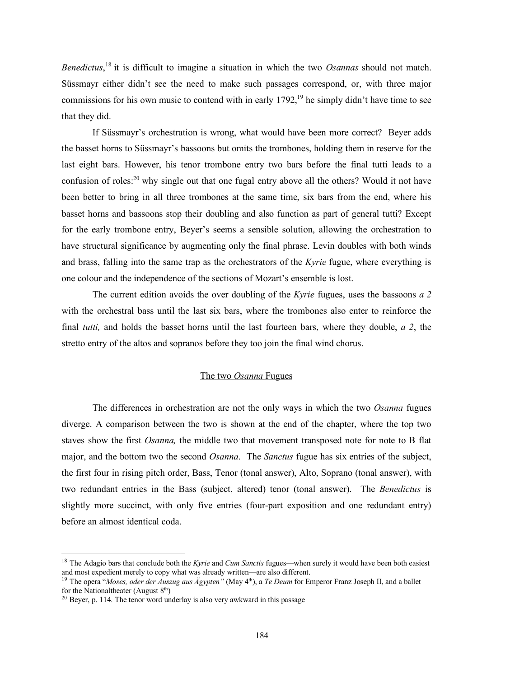*Benedictus*, <sup>18</sup> it is difficult to imagine a situation in which the two *Osannas* should not match. Süssmayr either didn't see the need to make such passages correspond, or, with three major commissions for his own music to contend with in early  $1792$ ,<sup>19</sup> he simply didn't have time to see that they did.

If Süssmayr's orchestration is wrong, what would have been more correct? Beyer adds the basset horns to Süssmayr's bassoons but omits the trombones, holding them in reserve for the last eight bars. However, his tenor trombone entry two bars before the final tutti leads to a confusion of roles:<sup>20</sup> why single out that one fugal entry above all the others? Would it not have been better to bring in all three trombones at the same time, six bars from the end, where his basset horns and bassoons stop their doubling and also function as part of general tutti? Except for the early trombone entry, Beyer's seems a sensible solution, allowing the orchestration to have structural significance by augmenting only the final phrase. Levin doubles with both winds and brass, falling into the same trap as the orchestrators of the *Kyrie* fugue, where everything is one colour and the independence of the sections of Mozart's ensemble is lost.

The current edition avoids the over doubling of the *Kyrie* fugues, uses the bassoons *a 2* with the orchestral bass until the last six bars, where the trombones also enter to reinforce the final *tutti,* and holds the basset horns until the last fourteen bars, where they double, *a 2*, the stretto entry of the altos and sopranos before they too join the final wind chorus.

## The two *Osanna* Fugues

The differences in orchestration are not the only ways in which the two *Osanna* fugues diverge. A comparison between the two is shown at the end of the chapter, where the top two staves show the first *Osanna,* the middle two that movement transposed note for note to B flat major, and the bottom two the second *Osanna*. The *Sanctus* fugue has six entries of the subject, the first four in rising pitch order, Bass, Tenor (tonal answer), Alto, Soprano (tonal answer), with two redundant entries in the Bass (subject, altered) tenor (tonal answer). The *Benedictus* is slightly more succinct, with only five entries (four-part exposition and one redundant entry) before an almost identical coda.

 <sup>18</sup> The Adagio bars that conclude both the *Kyrie* and *Cum Sanctis* fugues—when surely it would have been both easiest and most expedient merely to copy what was already written—are also different.

<sup>&</sup>lt;sup>19</sup> The opera "*Moses, oder der Auszug aus Ägypten*" (May 4<sup>th</sup>), a *Te Deum* for Emperor Franz Joseph II, and a ballet for the National theater (August  $8<sup>th</sup>$ )

<sup>&</sup>lt;sup>20</sup> Beyer, p. 114. The tenor word underlay is also very awkward in this passage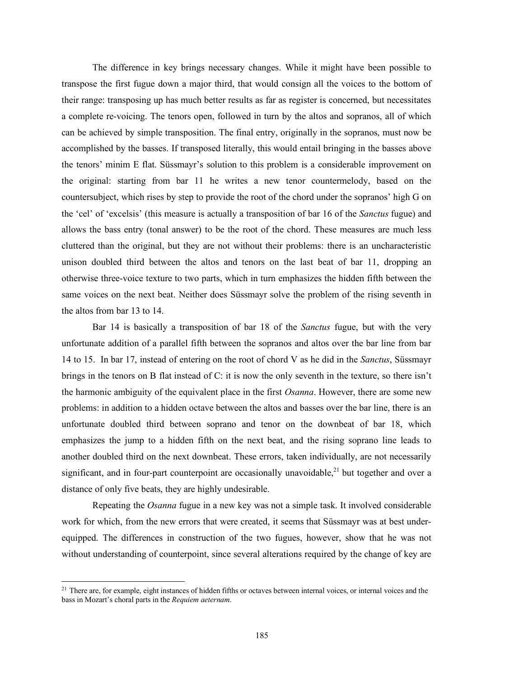The difference in key brings necessary changes. While it might have been possible to transpose the first fugue down a major third, that would consign all the voices to the bottom of their range: transposing up has much better results as far as register is concerned, but necessitates a complete re-voicing. The tenors open, followed in turn by the altos and sopranos, all of which can be achieved by simple transposition. The final entry, originally in the sopranos, must now be accomplished by the basses. If transposed literally, this would entail bringing in the basses above the tenors' minim E flat. Süssmayr's solution to this problem is a considerable improvement on the original: starting from bar 11 he writes a new tenor countermelody, based on the countersubject, which rises by step to provide the root of the chord under the sopranos' high G on the 'cel' of 'excelsis' (this measure is actually a transposition of bar 16 of the *Sanctus* fugue) and allows the bass entry (tonal answer) to be the root of the chord. These measures are much less cluttered than the original, but they are not without their problems: there is an uncharacteristic unison doubled third between the altos and tenors on the last beat of bar 11, dropping an otherwise three-voice texture to two parts, which in turn emphasizes the hidden fifth between the same voices on the next beat. Neither does Süssmayr solve the problem of the rising seventh in the altos from bar 13 to 14.

Bar 14 is basically a transposition of bar 18 of the *Sanctus* fugue, but with the very unfortunate addition of a parallel fifth between the sopranos and altos over the bar line from bar 14 to 15. In bar 17, instead of entering on the root of chord V as he did in the *Sanctus*, Süssmayr brings in the tenors on B flat instead of C: it is now the only seventh in the texture, so there isn't the harmonic ambiguity of the equivalent place in the first *Osanna*. However, there are some new problems: in addition to a hidden octave between the altos and basses over the bar line, there is an unfortunate doubled third between soprano and tenor on the downbeat of bar 18, which emphasizes the jump to a hidden fifth on the next beat, and the rising soprano line leads to another doubled third on the next downbeat. These errors, taken individually, are not necessarily significant, and in four-part counterpoint are occasionally unavoidable,<sup>21</sup> but together and over a distance of only five beats, they are highly undesirable.

Repeating the *Osanna* fugue in a new key was not a simple task. It involved considerable work for which, from the new errors that were created, it seems that Süssmayr was at best underequipped. The differences in construction of the two fugues, however, show that he was not without understanding of counterpoint, since several alterations required by the change of key are

<sup>&</sup>lt;sup>21</sup> There are, for example, eight instances of hidden fifths or octaves between internal voices, or internal voices and the bass in Mozart's choral parts in the *Requiem aeternam*.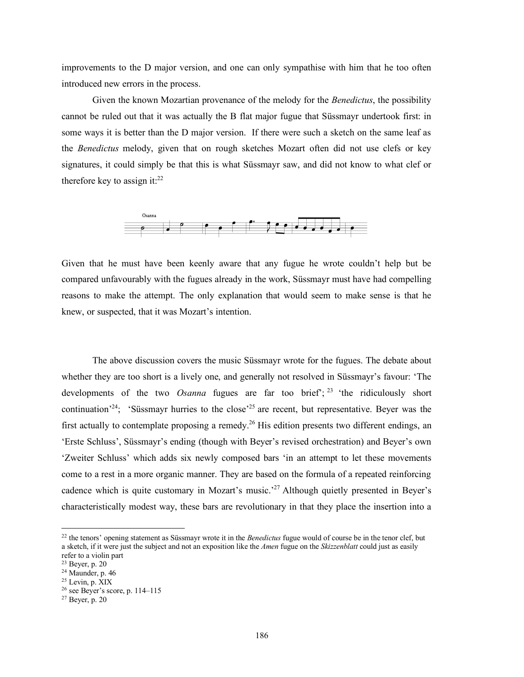improvements to the D major version, and one can only sympathise with him that he too often introduced new errors in the process.

Given the known Mozartian provenance of the melody for the *Benedictus*, the possibility cannot be ruled out that it was actually the B flat major fugue that Süssmayr undertook first: in some ways it is better than the D major version. If there were such a sketch on the same leaf as the *Benedictus* melody, given that on rough sketches Mozart often did not use clefs or key signatures, it could simply be that this is what Süssmayr saw, and did not know to what clef or therefore key to assign it: $^{22}$ 



Given that he must have been keenly aware that any fugue he wrote couldn't help but be compared unfavourably with the fugues already in the work, Süssmayr must have had compelling reasons to make the attempt. The only explanation that would seem to make sense is that he knew, or suspected, that it was Mozart's intention.

The above discussion covers the music Süssmayr wrote for the fugues. The debate about whether they are too short is a lively one, and generally not resolved in Süssmayr's favour: 'The developments of the two *Osanna* fugues are far too brief<sup>'</sup>;<sup>23</sup> 'the ridiculously short continuation<sup>24</sup>; 'Süssmayr hurries to the close<sup>25</sup> are recent, but representative. Beyer was the first actually to contemplate proposing a remedy.<sup>26</sup> His edition presents two different endings, an 'Erste Schluss', Süssmayr's ending (though with Beyer's revised orchestration) and Beyer's own 'Zweiter Schluss' which adds six newly composed bars 'in an attempt to let these movements come to a rest in a more organic manner. They are based on the formula of a repeated reinforcing cadence which is quite customary in Mozart's music.<sup>27</sup> Although quietly presented in Beyer's characteristically modest way, these bars are revolutionary in that they place the insertion into a

 <sup>22</sup> the tenors' opening statement as Süssmayr wrote it in the *Benedictus* fugue would of course be in the tenor clef, but a sketch, if it were just the subject and not an exposition like the *Amen* fugue on the *Skizzenblatt* could just as easily refer to a violin part

<sup>23</sup> Beyer, p. 20

 $24$  Maunder, p. 46

 $25$  Levin, p.  $\hat{X}$ IX

 $26$  see Beyer's score, p. 114–115

 $27$  Beyer, p. 20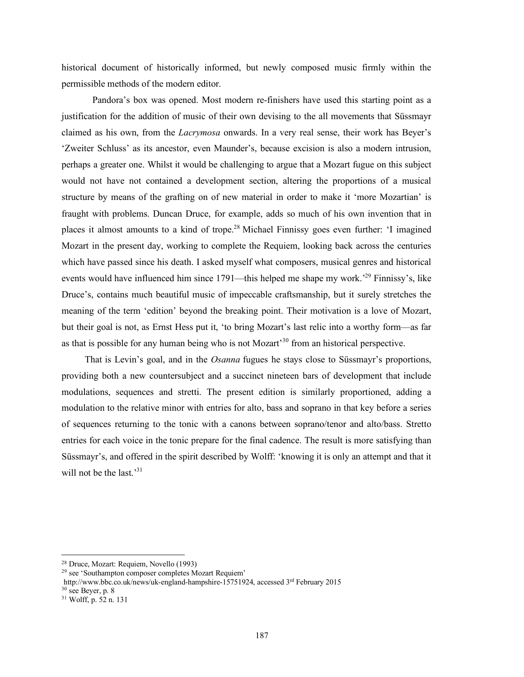historical document of historically informed, but newly composed music firmly within the permissible methods of the modern editor.

Pandora's box was opened. Most modern re-finishers have used this starting point as a justification for the addition of music of their own devising to the all movements that Süssmayr claimed as his own, from the *Lacrymosa* onwards. In a very real sense, their work has Beyer's 'Zweiter Schluss' as its ancestor, even Maunder's, because excision is also a modern intrusion, perhaps a greater one. Whilst it would be challenging to argue that a Mozart fugue on this subject would not have not contained a development section, altering the proportions of a musical structure by means of the grafting on of new material in order to make it 'more Mozartian' is fraught with problems. Duncan Druce, for example, adds so much of his own invention that in places it almost amounts to a kind of trope.28 Michael Finnissy goes even further: 'I imagined Mozart in the present day, working to complete the Requiem, looking back across the centuries which have passed since his death. I asked myself what composers, musical genres and historical events would have influenced him since 1791—this helped me shape my work.<sup>29</sup> Finnissy's, like Druce's, contains much beautiful music of impeccable craftsmanship, but it surely stretches the meaning of the term 'edition' beyond the breaking point. Their motivation is a love of Mozart, but their goal is not, as Ernst Hess put it, 'to bring Mozart's last relic into a worthy form—as far as that is possible for any human being who is not Mozart<sup>30</sup> from an historical perspective.

That is Levin's goal, and in the *Osanna* fugues he stays close to Süssmayr's proportions, providing both a new countersubject and a succinct nineteen bars of development that include modulations, sequences and stretti. The present edition is similarly proportioned, adding a modulation to the relative minor with entries for alto, bass and soprano in that key before a series of sequences returning to the tonic with a canons between soprano/tenor and alto/bass. Stretto entries for each voice in the tonic prepare for the final cadence. The result is more satisfying than Süssmayr's, and offered in the spirit described by Wolff: 'knowing it is only an attempt and that it will not be the last.<sup>31</sup>

 <sup>28</sup> Druce, Mozart: Requiem, Novello (1993)

<sup>29</sup> see 'Southampton composer completes Mozart Requiem'

http://www.bbc.co.uk/news/uk-england-hampshire-15751924, accessed 3rd February 2015  $30$  see Beyer, p.  $8$ 

<sup>31</sup> Wolff, p. 52 n. 131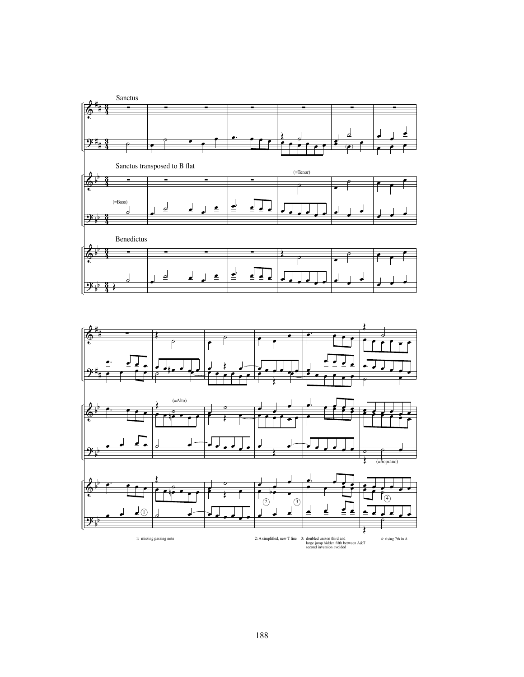